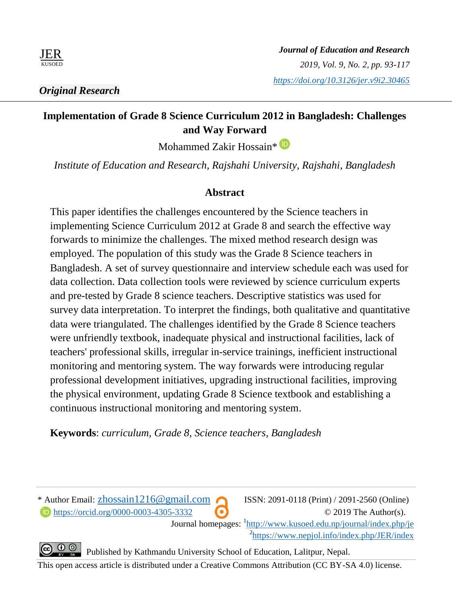

*Original Research*

# **Implementation of Grade 8 Science Curriculum 2012 in Bangladesh: Challenges and Way Forward**

Mohammed Zakir Hossain\*

*Institute of Education and Research, Rajshahi University, Rajshahi, Bangladesh* 

#### **Abstract**

This paper identifies the challenges encountered by the Science teachers in implementing Science Curriculum 2012 at Grade 8 and search the effective way forwards to minimize the challenges. The mixed method research design was employed. The population of this study was the Grade 8 Science teachers in Bangladesh. A set of survey questionnaire and interview schedule each was used for data collection. Data collection tools were reviewed by science curriculum experts and pre-tested by Grade 8 science teachers. Descriptive statistics was used for survey data interpretation. To interpret the findings, both qualitative and quantitative data were triangulated. The challenges identified by the Grade 8 Science teachers were unfriendly textbook, inadequate physical and instructional facilities, lack of teachers' professional skills, irregular in-service trainings, inefficient instructional monitoring and mentoring system. The way forwards were introducing regular professional development initiatives, upgrading instructional facilities, improving the physical environment, updating Grade 8 Science textbook and establishing a continuous instructional monitoring and mentoring system.

**Keywords**: *curriculum, Grade 8, Science teachers, Bangladesh*



This open access article is distributed under a Creative Commons Attribution (CC BY-SA 4.0) license.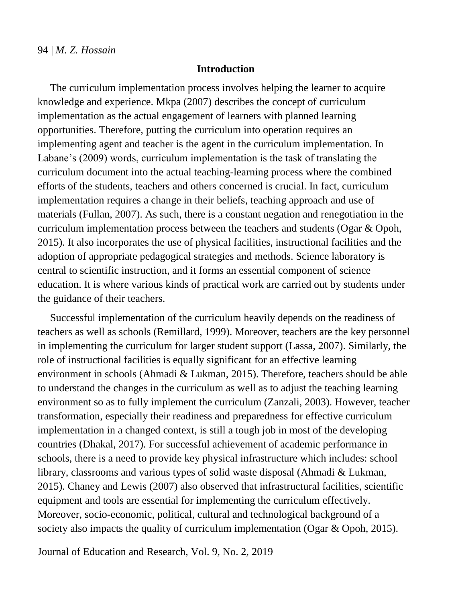### **Introduction**

The curriculum implementation process involves helping the learner to acquire knowledge and experience. Mkpa (2007) describes the concept of curriculum implementation as the actual engagement of learners with planned learning opportunities. Therefore, putting the curriculum into operation requires an implementing agent and teacher is the agent in the curriculum implementation. In Labane's (2009) words, curriculum implementation is the task of translating the curriculum document into the actual teaching-learning process where the combined efforts of the students, teachers and others concerned is crucial. In fact, curriculum implementation requires a change in their beliefs, teaching approach and use of materials (Fullan, 2007). As such, there is a constant negation and renegotiation in the curriculum implementation process between the teachers and students (Ogar & Opoh, 2015). It also incorporates the use of physical facilities, instructional facilities and the adoption of appropriate pedagogical strategies and methods. Science laboratory is central to scientific instruction, and it forms an essential component of science education. It is where various kinds of practical work are carried out by students under the guidance of their teachers.

Successful implementation of the curriculum heavily depends on the readiness of teachers as well as schools (Remillard, 1999). Moreover, teachers are the key personnel in implementing the curriculum for larger student support (Lassa, 2007). Similarly, the role of instructional facilities is equally significant for an effective learning environment in schools (Ahmadi & Lukman, 2015). Therefore, teachers should be able to understand the changes in the curriculum as well as to adjust the teaching learning environment so as to fully implement the curriculum (Zanzali, 2003). However, teacher transformation, especially their readiness and preparedness for effective curriculum implementation in a changed context, is still a tough job in most of the developing countries (Dhakal, 2017). For successful achievement of academic performance in schools, there is a need to provide key physical infrastructure which includes: school library, classrooms and various types of solid waste disposal (Ahmadi & Lukman, 2015). Chaney and Lewis (2007) also observed that infrastructural facilities, scientific equipment and tools are essential for implementing the curriculum effectively. Moreover, socio-economic, political, cultural and technological background of a society also impacts the quality of curriculum implementation (Ogar & Opoh, 2015).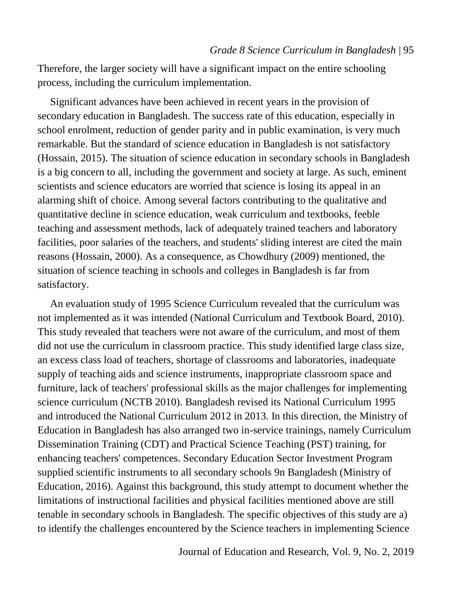Therefore, the larger society will have a significant impact on the entire schooling process, including the curriculum implementation.

Significant advances have been achieved in recent years in the provision of secondary education in Bangladesh. The success rate of this education, especially in school enrolment, reduction of gender parity and in public examination, is very much remarkable. But the standard of science education in Bangladesh is not satisfactory (Hossain, 2015). The situation of science education in secondary schools in Bangladesh is a big concern to all, including the government and society at large. As such, eminent scientists and science educators are worried that science is losing its appeal in an alarming shift of choice. Among several factors contributing to the qualitative and quantitative decline in science education, weak curriculum and textbooks, feeble teaching and assessment methods, lack of adequately trained teachers and laboratory facilities, poor salaries of the teachers, and students' sliding interest are cited the main reasons (Hossain, 2000). As a consequence, as Chowdhury (2009) mentioned, the situation of science teaching in schools and colleges in Bangladesh is far from satisfactory.

An evaluation study of 1995 Science Curriculum revealed that the curriculum was not implemented as it was intended (National Curriculum and Textbook Board, 2010). This study revealed that teachers were not aware of the curriculum, and most of them did not use the curriculum in classroom practice. This study identified large class size, an excess class load of teachers, shortage of classrooms and laboratories, inadequate supply of teaching aids and science instruments, inappropriate classroom space and furniture, lack of teachers' professional skills as the major challenges for implementing science curriculum (NCTB 2010). Bangladesh revised its National Curriculum 1995 and introduced the National Curriculum 2012 in 2013. In this direction, the Ministry of Education in Bangladesh has also arranged two in-service trainings, namely Curriculum Dissemination Training (CDT) and Practical Science Teaching (PST) training, for enhancing teachers' competences. Secondary Education Sector Investment Program supplied scientific instruments to all secondary schools 9n Bangladesh (Ministry of Education, 2016). Against this background, this study attempt to document whether the limitations of instructional facilities and physical facilities mentioned above are still tenable in secondary schools in Bangladesh. The specific objectives of this study are a) to identify the challenges encountered by the Science teachers in implementing Science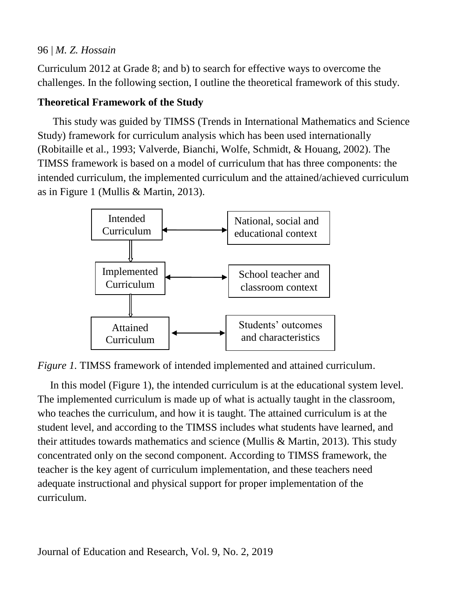Curriculum 2012 at Grade 8; and b) to search for effective ways to overcome the challenges. In the following section, I outline the theoretical framework of this study.

# **Theoretical Framework of the Study**

This study was guided by TIMSS (Trends in International Mathematics and Science Study) framework for curriculum analysis which has been used internationally (Robitaille et al., 1993; Valverde, Bianchi, Wolfe, Schmidt, & Houang, 2002). The TIMSS framework is based on a model of curriculum that has three components: the intended curriculum, the implemented curriculum and the attained/achieved curriculum as in Figure 1 (Mullis & Martin, 2013).





In this model (Figure 1), the intended curriculum is at the educational system level. The implemented curriculum is made up of what is actually taught in the classroom, who teaches the curriculum, and how it is taught. The attained curriculum is at the student level, and according to the TIMSS includes what students have learned, and their attitudes towards mathematics and science (Mullis  $\&$  Martin, 2013). This study concentrated only on the second component. According to TIMSS framework, the teacher is the key agent of curriculum implementation, and these teachers need adequate instructional and physical support for proper implementation of the curriculum.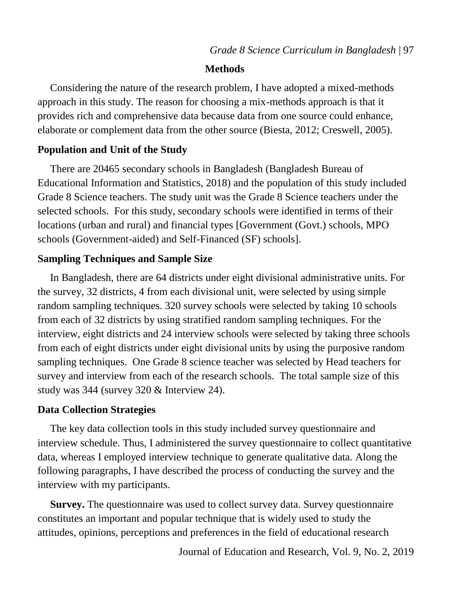## **Methods**

Considering the nature of the research problem, I have adopted a mixed-methods approach in this study. The reason for choosing a mix-methods approach is that it provides rich and comprehensive data because data from one source could enhance, elaborate or complement data from the other source (Biesta, 2012; Creswell, 2005).

# **Population and Unit of the Study**

There are 20465 secondary schools in Bangladesh (Bangladesh Bureau of Educational Information and Statistics, 2018) and the population of this study included Grade 8 Science teachers. The study unit was the Grade 8 Science teachers under the selected schools. For this study, secondary schools were identified in terms of their locations (urban and rural) and financial types [Government (Govt.) schools, MPO schools (Government-aided) and Self-Financed (SF) schools].

## **Sampling Techniques and Sample Size**

In Bangladesh, there are 64 districts under eight divisional administrative units. For the survey, 32 districts, 4 from each divisional unit, were selected by using simple random sampling techniques. 320 survey schools were selected by taking 10 schools from each of 32 districts by using stratified random sampling techniques. For the interview, eight districts and 24 interview schools were selected by taking three schools from each of eight districts under eight divisional units by using the purposive random sampling techniques. One Grade 8 science teacher was selected by Head teachers for survey and interview from each of the research schools. The total sample size of this study was 344 (survey 320 & Interview 24).

## **Data Collection Strategies**

The key data collection tools in this study included survey questionnaire and interview schedule. Thus, I administered the survey questionnaire to collect quantitative data, whereas I employed interview technique to generate qualitative data. Along the following paragraphs, I have described the process of conducting the survey and the interview with my participants.

**Survey.** The questionnaire was used to collect survey data. Survey questionnaire constitutes an important and popular technique that is widely used to study the attitudes, opinions, perceptions and preferences in the field of educational research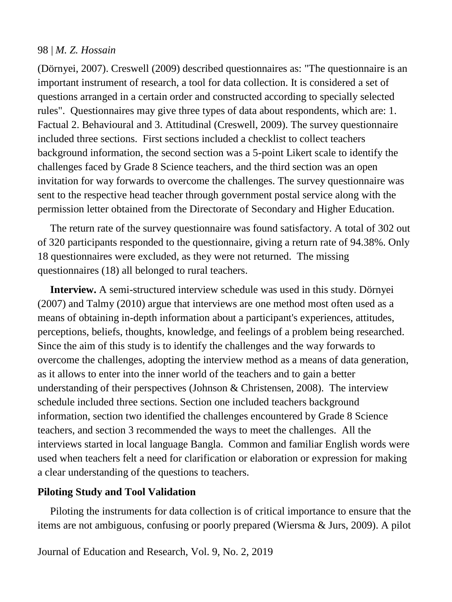(Dörnyei, 2007). Creswell (2009) described questionnaires as: "The questionnaire is an important instrument of research, a tool for data collection. It is considered a set of questions arranged in a certain order and constructed according to specially selected rules". Questionnaires may give three types of data about respondents, which are: 1. Factual 2. Behavioural and 3. Attitudinal (Creswell, 2009). The survey questionnaire included three sections. First sections included a checklist to collect teachers background information, the second section was a 5-point Likert scale to identify the challenges faced by Grade 8 Science teachers, and the third section was an open invitation for way forwards to overcome the challenges. The survey questionnaire was sent to the respective head teacher through government postal service along with the permission letter obtained from the Directorate of Secondary and Higher Education.

The return rate of the survey questionnaire was found satisfactory. A total of 302 out of 320 participants responded to the questionnaire, giving a return rate of 94.38%. Only 18 questionnaires were excluded, as they were not returned. The missing questionnaires (18) all belonged to rural teachers.

**Interview.** A semi-structured interview schedule was used in this study. Dörnyei (2007) and Talmy (2010) argue that interviews are one method most often used as a means of obtaining in-depth information about a participant's experiences, attitudes, perceptions, beliefs, thoughts, knowledge, and feelings of a problem being researched. Since the aim of this study is to identify the challenges and the way forwards to overcome the challenges, adopting the interview method as a means of data generation, as it allows to enter into the inner world of the teachers and to gain a better understanding of their perspectives (Johnson & Christensen, 2008). The interview schedule included three sections. Section one included teachers background information, section two identified the challenges encountered by Grade 8 Science teachers, and section 3 recommended the ways to meet the challenges. All the interviews started in local language Bangla. Common and familiar English words were used when teachers felt a need for clarification or elaboration or expression for making a clear understanding of the questions to teachers.

# **Piloting Study and Tool Validation**

Piloting the instruments for data collection is of critical importance to ensure that the items are not ambiguous, confusing or poorly prepared (Wiersma & Jurs, 2009). A pilot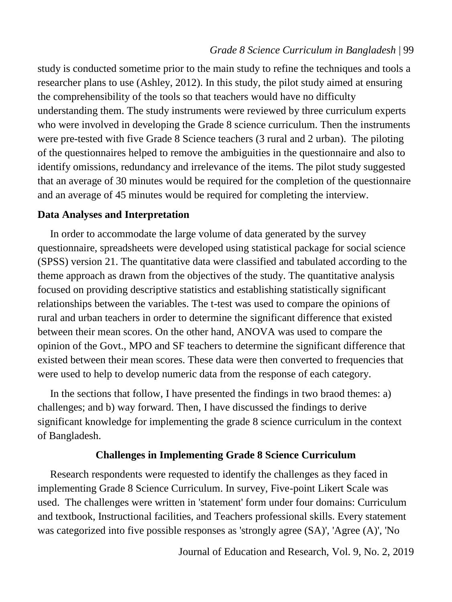study is conducted sometime prior to the main study to refine the techniques and tools a researcher plans to use (Ashley, 2012). In this study, the pilot study aimed at ensuring the comprehensibility of the tools so that teachers would have no difficulty understanding them. The study instruments were reviewed by three curriculum experts who were involved in developing the Grade 8 science curriculum. Then the instruments were pre-tested with five Grade 8 Science teachers (3 rural and 2 urban). The piloting of the questionnaires helped to remove the ambiguities in the questionnaire and also to identify omissions, redundancy and irrelevance of the items. The pilot study suggested that an average of 30 minutes would be required for the completion of the questionnaire and an average of 45 minutes would be required for completing the interview.

#### **Data Analyses and Interpretation**

In order to accommodate the large volume of data generated by the survey questionnaire, spreadsheets were developed using statistical package for social science (SPSS) version 21. The quantitative data were classified and tabulated according to the theme approach as drawn from the objectives of the study. The quantitative analysis focused on providing descriptive statistics and establishing statistically significant relationships between the variables. The t-test was used to compare the opinions of rural and urban teachers in order to determine the significant difference that existed between their mean scores. On the other hand, ANOVA was used to compare the opinion of the Govt., MPO and SF teachers to determine the significant difference that existed between their mean scores. These data were then converted to frequencies that were used to help to develop numeric data from the response of each category.

In the sections that follow, I have presented the findings in two braod themes: a) challenges; and b) way forward. Then, I have discussed the findings to derive significant knowledge for implementing the grade 8 science curriculum in the context of Bangladesh.

#### **Challenges in Implementing Grade 8 Science Curriculum**

Research respondents were requested to identify the challenges as they faced in implementing Grade 8 Science Curriculum. In survey, Five-point Likert Scale was used. The challenges were written in 'statement' form under four domains: Curriculum and textbook, Instructional facilities, and Teachers professional skills. Every statement was categorized into five possible responses as 'strongly agree (SA)', 'Agree (A)', 'No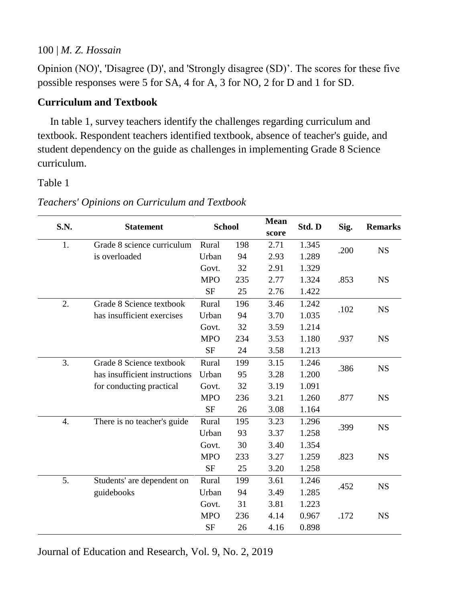Opinion (NO)', 'Disagree (D)', and 'Strongly disagree (SD)'. The scores for these five possible responses were 5 for SA, 4 for A, 3 for NO, 2 for D and 1 for SD.

# **Curriculum and Textbook**

In table 1, survey teachers identify the challenges regarding curriculum and textbook. Respondent teachers identified textbook, absence of teacher's guide, and student dependency on the guide as challenges in implementing Grade 8 Science curriculum.

Table 1

| S.N. | <b>Statement</b>              | <b>School</b> |     | <b>Mean</b><br>score | Std. D | Sig. | <b>Remarks</b> |
|------|-------------------------------|---------------|-----|----------------------|--------|------|----------------|
| 1.   | Grade 8 science curriculum    | Rural         | 198 | 2.71                 | 1.345  |      | <b>NS</b>      |
|      | is overloaded                 | Urban         | 94  | 2.93                 | 1.289  | .200 |                |
|      |                               | Govt.         | 32  | 2.91                 | 1.329  |      |                |
|      |                               | <b>MPO</b>    | 235 | 2.77                 | 1.324  | .853 | <b>NS</b>      |
|      |                               | <b>SF</b>     | 25  | 2.76                 | 1.422  |      |                |
| 2.   | Grade 8 Science textbook      | Rural         | 196 | 3.46                 | 1.242  | .102 | <b>NS</b>      |
|      | has insufficient exercises    | Urban         | 94  | 3.70                 | 1.035  |      |                |
|      |                               | Govt.         | 32  | 3.59                 | 1.214  |      |                |
|      |                               | <b>MPO</b>    | 234 | 3.53                 | 1.180  | .937 | <b>NS</b>      |
|      |                               | <b>SF</b>     | 24  | 3.58                 | 1.213  |      |                |
| 3.   | Grade 8 Science textbook      | Rural         | 199 | 3.15                 | 1.246  | .386 | <b>NS</b>      |
|      | has insufficient instructions | Urban         | 95  | 3.28                 | 1.200  |      |                |
|      | for conducting practical      | Govt.         | 32  | 3.19                 | 1.091  |      |                |
|      |                               | <b>MPO</b>    | 236 | 3.21                 | 1.260  | .877 | <b>NS</b>      |
|      |                               | <b>SF</b>     | 26  | 3.08                 | 1.164  |      |                |
| 4.   | There is no teacher's guide   | Rural         | 195 | 3.23                 | 1.296  |      |                |
|      |                               | Urban         | 93  | 3.37                 | 1.258  | .399 | <b>NS</b>      |
|      |                               | Govt.         | 30  | 3.40                 | 1.354  |      |                |
|      |                               | <b>MPO</b>    | 233 | 3.27                 | 1.259  | .823 | <b>NS</b>      |
|      |                               | <b>SF</b>     | 25  | 3.20                 | 1.258  |      |                |
| 5.   | Students' are dependent on    | Rural         | 199 | 3.61                 | 1.246  |      |                |
|      | guidebooks                    | Urban         | 94  | 3.49                 | 1.285  | .452 | <b>NS</b>      |
|      |                               | Govt.         | 31  | 3.81                 | 1.223  |      |                |
|      |                               | <b>MPO</b>    | 236 | 4.14                 | 0.967  | .172 | <b>NS</b>      |
|      |                               | SF            | 26  | 4.16                 | 0.898  |      |                |

*Teachers' Opinions on Curriculum and Textbook*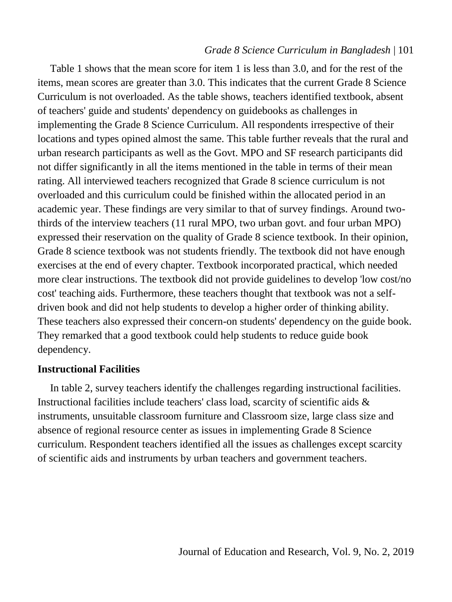#### *Grade 8 Science Curriculum in Bangladesh* | 101

Table 1 shows that the mean score for item 1 is less than 3.0, and for the rest of the items, mean scores are greater than 3.0. This indicates that the current Grade 8 Science Curriculum is not overloaded. As the table shows, teachers identified textbook, absent of teachers' guide and students' dependency on guidebooks as challenges in implementing the Grade 8 Science Curriculum. All respondents irrespective of their locations and types opined almost the same. This table further reveals that the rural and urban research participants as well as the Govt. MPO and SF research participants did not differ significantly in all the items mentioned in the table in terms of their mean rating. All interviewed teachers recognized that Grade 8 science curriculum is not overloaded and this curriculum could be finished within the allocated period in an academic year. These findings are very similar to that of survey findings. Around twothirds of the interview teachers (11 rural MPO, two urban govt. and four urban MPO) expressed their reservation on the quality of Grade 8 science textbook. In their opinion, Grade 8 science textbook was not students friendly. The textbook did not have enough exercises at the end of every chapter. Textbook incorporated practical, which needed more clear instructions. The textbook did not provide guidelines to develop 'low cost/no cost' teaching aids. Furthermore, these teachers thought that textbook was not a selfdriven book and did not help students to develop a higher order of thinking ability. These teachers also expressed their concern-on students' dependency on the guide book. They remarked that a good textbook could help students to reduce guide book dependency.

#### **Instructional Facilities**

In table 2, survey teachers identify the challenges regarding instructional facilities. Instructional facilities include teachers' class load, scarcity of scientific aids  $\&$ instruments, unsuitable classroom furniture and Classroom size, large class size and absence of regional resource center as issues in implementing Grade 8 Science curriculum. Respondent teachers identified all the issues as challenges except scarcity of scientific aids and instruments by urban teachers and government teachers.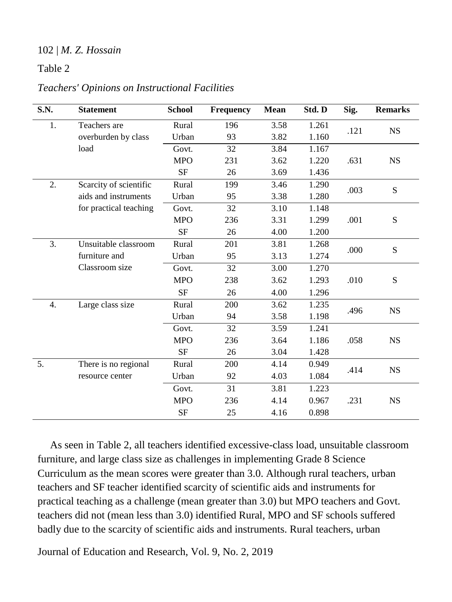## Table 2

| S.N. | <b>Statement</b>       | <b>School</b> | Frequency | <b>Mean</b> | Std. D | Sig. | <b>Remarks</b> |
|------|------------------------|---------------|-----------|-------------|--------|------|----------------|
| 1.   | Teachers are           | Rural         | 196       | 3.58        | 1.261  |      | <b>NS</b>      |
|      | overburden by class    | Urban         | 93        | 3.82        | 1.160  | .121 |                |
|      | load                   | Govt.         | 32        | 3.84        | 1.167  |      |                |
|      |                        | <b>MPO</b>    | 231       | 3.62        | 1.220  | .631 | <b>NS</b>      |
|      |                        | <b>SF</b>     | 26        | 3.69        | 1.436  |      |                |
| 2.   | Scarcity of scientific | Rural         | 199       | 3.46        | 1.290  | .003 | ${\bf S}$      |
|      | aids and instruments   | Urban         | 95        | 3.38        | 1.280  |      |                |
|      | for practical teaching | Govt.         | 32        | 3.10        | 1.148  |      |                |
|      |                        | <b>MPO</b>    | 236       | 3.31        | 1.299  | .001 | ${\bf S}$      |
|      |                        | SF            | 26        | 4.00        | 1.200  |      |                |
| 3.   | Unsuitable classroom   | Rural         | 201       | 3.81        | 1.268  | .000 | ${\bf S}$      |
|      | furniture and          | Urban         | 95        | 3.13        | 1.274  |      |                |
|      | Classroom size         | Govt.         | 32        | 3.00        | 1.270  |      |                |
|      |                        | <b>MPO</b>    | 238       | 3.62        | 1.293  | .010 | ${\bf S}$      |
|      |                        | <b>SF</b>     | 26        | 4.00        | 1.296  |      |                |
| 4.   | Large class size       | Rural         | 200       | 3.62        | 1.235  | .496 | <b>NS</b>      |
|      |                        | Urban         | 94        | 3.58        | 1.198  |      |                |
|      |                        | Govt.         | 32        | 3.59        | 1.241  |      |                |
|      |                        | <b>MPO</b>    | 236       | 3.64        | 1.186  | .058 | <b>NS</b>      |
|      |                        | <b>SF</b>     | 26        | 3.04        | 1.428  |      |                |
| 5.   | There is no regional   | Rural         | 200       | 4.14        | 0.949  | .414 | <b>NS</b>      |
|      | resource center        | Urban         | 92        | 4.03        | 1.084  |      |                |
|      |                        | Govt.         | 31        | 3.81        | 1.223  |      |                |
|      |                        | <b>MPO</b>    | 236       | 4.14        | 0.967  | .231 | <b>NS</b>      |
|      |                        | SF            | 25        | 4.16        | 0.898  |      |                |

As seen in Table 2, all teachers identified excessive-class load, unsuitable classroom furniture, and large class size as challenges in implementing Grade 8 Science Curriculum as the mean scores were greater than 3.0. Although rural teachers, urban teachers and SF teacher identified scarcity of scientific aids and instruments for practical teaching as a challenge (mean greater than 3.0) but MPO teachers and Govt. teachers did not (mean less than 3.0) identified Rural, MPO and SF schools suffered badly due to the scarcity of scientific aids and instruments. Rural teachers, urban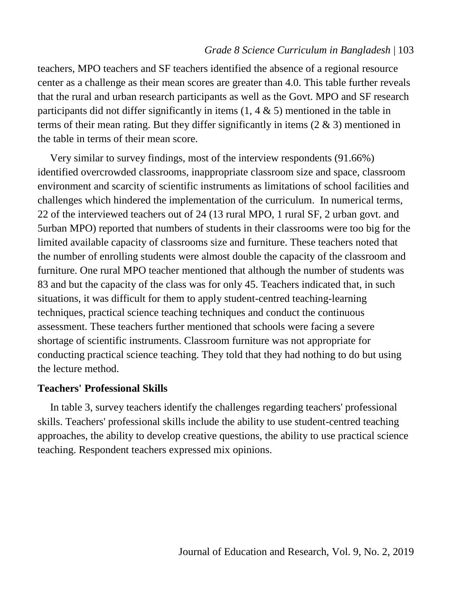#### *Grade 8 Science Curriculum in Bangladesh* | 103

teachers, MPO teachers and SF teachers identified the absence of a regional resource center as a challenge as their mean scores are greater than 4.0. This table further reveals that the rural and urban research participants as well as the Govt. MPO and SF research participants did not differ significantly in items  $(1, 4 \& 5)$  mentioned in the table in terms of their mean rating. But they differ significantly in items  $(2 \& 3)$  mentioned in the table in terms of their mean score.

Very similar to survey findings, most of the interview respondents (91.66%) identified overcrowded classrooms, inappropriate classroom size and space, classroom environment and scarcity of scientific instruments as limitations of school facilities and challenges which hindered the implementation of the curriculum. In numerical terms, 22 of the interviewed teachers out of 24 (13 rural MPO, 1 rural SF, 2 urban govt. and 5urban MPO) reported that numbers of students in their classrooms were too big for the limited available capacity of classrooms size and furniture. These teachers noted that the number of enrolling students were almost double the capacity of the classroom and furniture. One rural MPO teacher mentioned that although the number of students was 83 and but the capacity of the class was for only 45. Teachers indicated that, in such situations, it was difficult for them to apply student-centred teaching-learning techniques, practical science teaching techniques and conduct the continuous assessment. These teachers further mentioned that schools were facing a severe shortage of scientific instruments. Classroom furniture was not appropriate for conducting practical science teaching. They told that they had nothing to do but using the lecture method.

#### **Teachers' Professional Skills**

In table 3, survey teachers identify the challenges regarding teachers' professional skills. Teachers' professional skills include the ability to use student-centred teaching approaches, the ability to develop creative questions, the ability to use practical science teaching. Respondent teachers expressed mix opinions.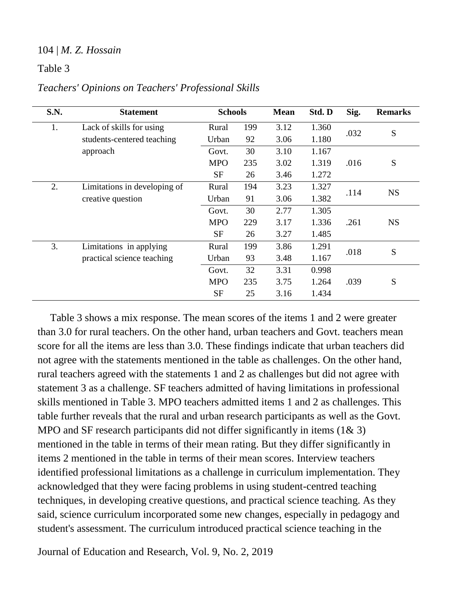Table 3

| S.N. | <b>Statement</b>             | <b>Schools</b> |     | <b>Mean</b> | Std. D | Sig. | <b>Remarks</b> |
|------|------------------------------|----------------|-----|-------------|--------|------|----------------|
| 1.   | Lack of skills for using     | Rural          | 199 | 3.12        | 1.360  |      | ${\bf S}$      |
|      | students-centered teaching   | Urban          | 92  | 3.06        | 1.180  | .032 |                |
|      | approach                     | Govt.          | 30  | 3.10        | 1.167  |      |                |
|      |                              | <b>MPO</b>     | 235 | 3.02        | 1.319  | .016 | S              |
|      |                              | <b>SF</b>      | 26  | 3.46        | 1.272  |      |                |
| 2.   | Limitations in developing of | Rural          | 194 | 3.23        | 1.327  | .114 | <b>NS</b>      |
|      | creative question            | Urban          | 91  | 3.06        | 1.382  |      |                |
|      |                              | Govt.          | 30  | 2.77        | 1.305  |      |                |
|      |                              | <b>MPO</b>     | 229 | 3.17        | 1.336  | .261 | <b>NS</b>      |
|      |                              | <b>SF</b>      | 26  | 3.27        | 1.485  |      |                |
| 3.   | Limitations in applying      | Rural          | 199 | 3.86        | 1.291  | .018 | S              |
|      | practical science teaching   | Urban          | 93  | 3.48        | 1.167  |      |                |
|      |                              | Govt.          | 32  | 3.31        | 0.998  |      |                |
|      |                              | <b>MPO</b>     | 235 | 3.75        | 1.264  | .039 | S              |
|      |                              | <b>SF</b>      | 25  | 3.16        | 1.434  |      |                |

*Teachers' Opinions on Teachers' Professional Skills*

Table 3 shows a mix response. The mean scores of the items 1 and 2 were greater than 3.0 for rural teachers. On the other hand, urban teachers and Govt. teachers mean score for all the items are less than 3.0. These findings indicate that urban teachers did not agree with the statements mentioned in the table as challenges. On the other hand, rural teachers agreed with the statements 1 and 2 as challenges but did not agree with statement 3 as a challenge. SF teachers admitted of having limitations in professional skills mentioned in Table 3. MPO teachers admitted items 1 and 2 as challenges. This table further reveals that the rural and urban research participants as well as the Govt. MPO and SF research participants did not differ significantly in items  $(1& 3)$ mentioned in the table in terms of their mean rating. But they differ significantly in items 2 mentioned in the table in terms of their mean scores. Interview teachers identified professional limitations as a challenge in curriculum implementation. They acknowledged that they were facing problems in using student-centred teaching techniques, in developing creative questions, and practical science teaching. As they said, science curriculum incorporated some new changes, especially in pedagogy and student's assessment. The curriculum introduced practical science teaching in the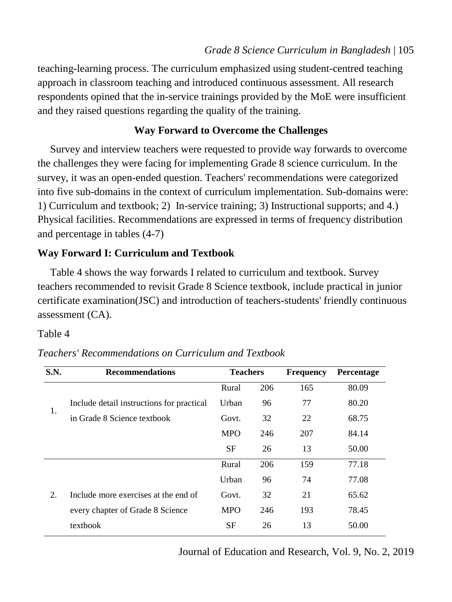teaching-learning process. The curriculum emphasized using student-centred teaching approach in classroom teaching and introduced continuous assessment. All research respondents opined that the in-service trainings provided by the MoE were insufficient and they raised questions regarding the quality of the training.

## **Way Forward to Overcome the Challenges**

Survey and interview teachers were requested to provide way forwards to overcome the challenges they were facing for implementing Grade 8 science curriculum. In the survey, it was an open-ended question. Teachers' recommendations were categorized into five sub-domains in the context of curriculum implementation. Sub-domains were: 1) Curriculum and textbook; 2) In-service training; 3) Instructional supports; and 4.) Physical facilities. Recommendations are expressed in terms of frequency distribution and percentage in tables (4-7)

## **Way Forward I: Curriculum and Textbook**

Table 4 shows the way forwards I related to curriculum and textbook. Survey teachers recommended to revisit Grade 8 Science textbook, include practical in junior certificate examination(JSC) and introduction of teachers-students' friendly continuous assessment (CA).

#### Table 4

| <b>S.N.</b> | <b>Recommendations</b>                    | <b>Teachers</b> |     | <b>Frequency</b> | Percentage |
|-------------|-------------------------------------------|-----------------|-----|------------------|------------|
|             |                                           | Rural           | 206 | 165              | 80.09      |
|             | Include detail instructions for practical | Urban           | 96  | 77               | 80.20      |
| 1.          | in Grade 8 Science textbook               | Govt.           | 32  | 22               | 68.75      |
|             |                                           | <b>MPO</b>      | 246 | 207              | 84.14      |
|             |                                           | SF              | 26  | 13               | 50.00      |
|             |                                           | Rural           | 206 | 159              | 77.18      |
|             |                                           | Urban           | 96  | 74               | 77.08      |
| 2.          | Include more exercises at the end of      | Govt.           | 32  | 21               | 65.62      |
|             | every chapter of Grade 8 Science          | <b>MPO</b>      | 246 | 193              | 78.45      |
|             | textbook                                  | <b>SF</b>       | 26  | 13               | 50.00      |

*Teachers' Recommendations on Curriculum and Textbook*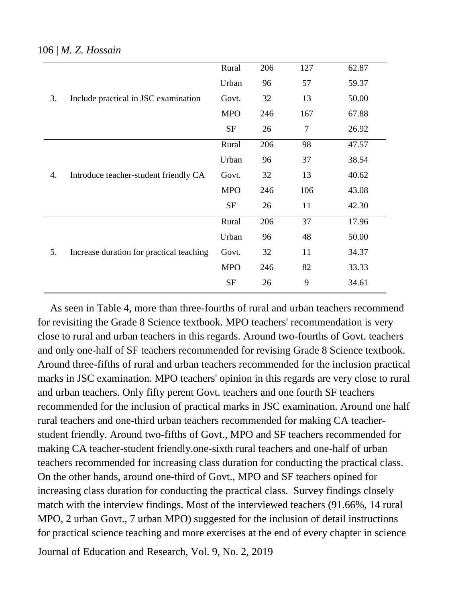|    |                                          | Rural      | 206 | 127 | 62.87 |
|----|------------------------------------------|------------|-----|-----|-------|
|    |                                          | Urban      | 96  | 57  | 59.37 |
| 3. | Include practical in JSC examination     | Govt.      | 32  | 13  | 50.00 |
|    |                                          | <b>MPO</b> | 246 | 167 | 67.88 |
|    |                                          | <b>SF</b>  | 26  | 7   | 26.92 |
|    |                                          | Rural      | 206 | 98  | 47.57 |
|    | Introduce teacher-student friendly CA    | Urban      | 96  | 37  | 38.54 |
| 4. |                                          | Govt.      | 32  | 13  | 40.62 |
|    |                                          | <b>MPO</b> | 246 | 106 | 43.08 |
|    |                                          | $\rm SF$   | 26  | 11  | 42.30 |
|    |                                          | Rural      | 206 | 37  | 17.96 |
|    |                                          | Urban      | 96  | 48  | 50.00 |
| 5. | Increase duration for practical teaching | Govt.      | 32  | 11  | 34.37 |
|    |                                          | <b>MPO</b> | 246 | 82  | 33.33 |
|    |                                          | <b>SF</b>  | 26  | 9   | 34.61 |
|    |                                          |            |     |     |       |

As seen in Table 4, more than three-fourths of rural and urban teachers recommend for revisiting the Grade 8 Science textbook. MPO teachers' recommendation is very close to rural and urban teachers in this regards. Around two-fourths of Govt. teachers and only one-half of SF teachers recommended for revising Grade 8 Science textbook. Around three-fifths of rural and urban teachers recommended for the inclusion practical marks in JSC examination. MPO teachers' opinion in this regards are very close to rural and urban teachers. Only fifty perent Govt. teachers and one fourth SF teachers recommended for the inclusion of practical marks in JSC examination. Around one half rural teachers and one-third urban teachers recommended for making CA teacherstudent friendly. Around two-fifths of Govt., MPO and SF teachers recommended for making CA teacher-student friendly.one-sixth rural teachers and one-half of urban teachers recommended for increasing class duration for conducting the practical class. On the other hands, around one-third of Govt., MPO and SF teachers opined for increasing class duration for conducting the practical class. Survey findings closely match with the interview findings. Most of the interviewed teachers (91.66%, 14 rural MPO, 2 urban Govt., 7 urban MPO) suggested for the inclusion of detail instructions for practical science teaching and more exercises at the end of every chapter in science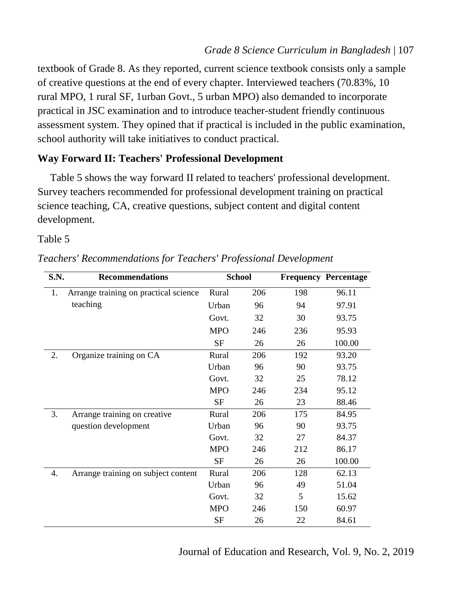textbook of Grade 8. As they reported, current science textbook consists only a sample of creative questions at the end of every chapter. Interviewed teachers (70.83%, 10 rural MPO, 1 rural SF, 1urban Govt., 5 urban MPO) also demanded to incorporate practical in JSC examination and to introduce teacher-student friendly continuous assessment system. They opined that if practical is included in the public examination, school authority will take initiatives to conduct practical.

# **Way Forward II: Teachers' Professional Development**

Table 5 shows the way forward II related to teachers' professional development. Survey teachers recommended for professional development training on practical science teaching, CA, creative questions, subject content and digital content development.

### Table 5

| <b>S.N.</b> | <b>Recommendations</b>                |            | <b>School</b> |     | <b>Frequency Percentage</b> |
|-------------|---------------------------------------|------------|---------------|-----|-----------------------------|
| 1.          | Arrange training on practical science | Rural      | 206           | 198 | 96.11                       |
|             | teaching                              | Urban      | 96            | 94  | 97.91                       |
|             |                                       | Govt.      | 32            | 30  | 93.75                       |
|             |                                       | <b>MPO</b> | 246           | 236 | 95.93                       |
|             |                                       | <b>SF</b>  | 26            | 26  | 100.00                      |
| 2.          | Organize training on CA               | Rural      | 206           | 192 | 93.20                       |
|             |                                       | Urban      | 96            | 90  | 93.75                       |
|             |                                       | Govt.      | 32            | 25  | 78.12                       |
|             |                                       | <b>MPO</b> | 246           | 234 | 95.12                       |
|             |                                       | <b>SF</b>  | 26            | 23  | 88.46                       |
| 3.          | Arrange training on creative          | Rural      | 206           | 175 | 84.95                       |
|             | question development                  | Urban      | 96            | 90  | 93.75                       |
|             |                                       | Govt.      | 32            | 27  | 84.37                       |
|             |                                       | <b>MPO</b> | 246           | 212 | 86.17                       |
|             |                                       | <b>SF</b>  | 26            | 26  | 100.00                      |
| 4.          | Arrange training on subject content   | Rural      | 206           | 128 | 62.13                       |
|             |                                       | Urban      | 96            | 49  | 51.04                       |
|             |                                       | Govt.      | 32            | 5   | 15.62                       |
|             |                                       | <b>MPO</b> | 246           | 150 | 60.97                       |
|             |                                       | SF         | 26            | 22  | 84.61                       |

*Teachers' Recommendations for Teachers' Professional Development*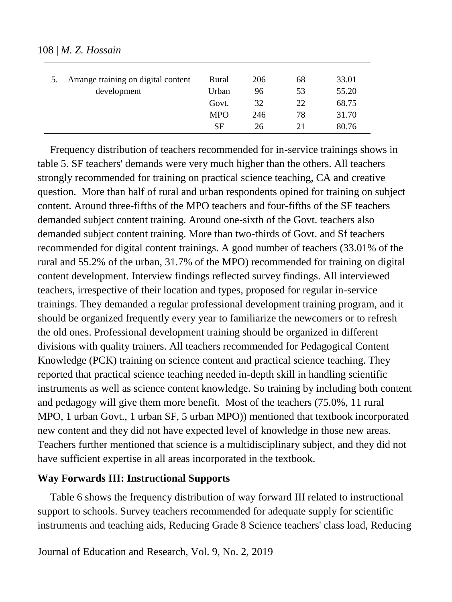| 5. | Arrange training on digital content | Rural      | 206 | 68 | 33.01 |
|----|-------------------------------------|------------|-----|----|-------|
|    | development                         | Urban      | 96  | 53 | 55.20 |
|    |                                     | Govt.      | 32  | 22 | 68.75 |
|    |                                     | <b>MPO</b> | 246 | 78 | 31.70 |
|    |                                     | SF         | 26  | 21 | 80.76 |

Frequency distribution of teachers recommended for in-service trainings shows in table 5. SF teachers' demands were very much higher than the others. All teachers strongly recommended for training on practical science teaching, CA and creative question. More than half of rural and urban respondents opined for training on subject content. Around three-fifths of the MPO teachers and four-fifths of the SF teachers demanded subject content training. Around one-sixth of the Govt. teachers also demanded subject content training. More than two-thirds of Govt. and Sf teachers recommended for digital content trainings. A good number of teachers (33.01% of the rural and 55.2% of the urban, 31.7% of the MPO) recommended for training on digital content development. Interview findings reflected survey findings. All interviewed teachers, irrespective of their location and types, proposed for regular in-service trainings. They demanded a regular professional development training program, and it should be organized frequently every year to familiarize the newcomers or to refresh the old ones. Professional development training should be organized in different divisions with quality trainers. All teachers recommended for Pedagogical Content Knowledge (PCK) training on science content and practical science teaching. They reported that practical science teaching needed in-depth skill in handling scientific instruments as well as science content knowledge. So training by including both content and pedagogy will give them more benefit. Most of the teachers (75.0%, 11 rural MPO, 1 urban Govt., 1 urban SF, 5 urban MPO)) mentioned that textbook incorporated new content and they did not have expected level of knowledge in those new areas. Teachers further mentioned that science is a multidisciplinary subject, and they did not have sufficient expertise in all areas incorporated in the textbook.

#### **Way Forwards III: Instructional Supports**

Table 6 shows the frequency distribution of way forward III related to instructional support to schools. Survey teachers recommended for adequate supply for scientific instruments and teaching aids, Reducing Grade 8 Science teachers' class load, Reducing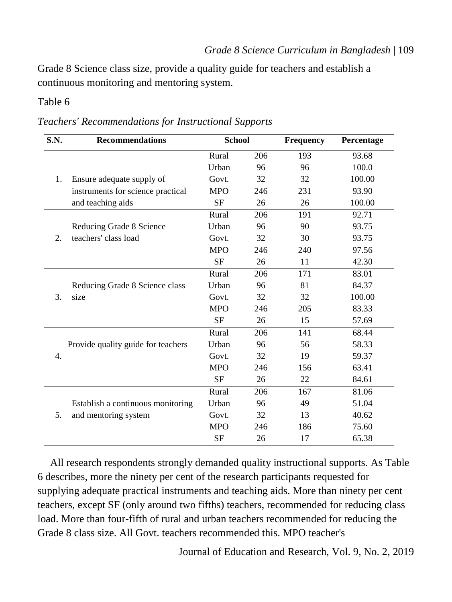### *Grade 8 Science Curriculum in Bangladesh* | 109

Grade 8 Science class size, provide a quality guide for teachers and establish a continuous monitoring and mentoring system.

## Table 6

*Teachers' Recommendations for Instructional Supports*

| S.N. | <b>Recommendations</b>             | <b>School</b> |     | Frequency | Percentage |
|------|------------------------------------|---------------|-----|-----------|------------|
|      |                                    | Rural         | 206 | 193       | 93.68      |
|      |                                    | Urban         | 96  | 96        | 100.0      |
| 1.   | Ensure adequate supply of          | Govt.         | 32  | 32        | 100.00     |
|      | instruments for science practical  | <b>MPO</b>    | 246 | 231       | 93.90      |
|      | and teaching aids                  | <b>SF</b>     | 26  | 26        | 100.00     |
|      |                                    | Rural         | 206 | 191       | 92.71      |
|      | Reducing Grade 8 Science           | Urban         | 96  | 90        | 93.75      |
| 2.   | teachers' class load               | Govt.         | 32  | 30        | 93.75      |
|      |                                    | <b>MPO</b>    | 246 | 240       | 97.56      |
|      |                                    | <b>SF</b>     | 26  | 11        | 42.30      |
|      |                                    | Rural         | 206 | 171       | 83.01      |
|      | Reducing Grade 8 Science class     | Urban         | 96  | 81        | 84.37      |
| 3.   | size                               | Govt.         | 32  | 32        | 100.00     |
|      |                                    | <b>MPO</b>    | 246 | 205       | 83.33      |
|      |                                    | <b>SF</b>     | 26  | 15        | 57.69      |
|      |                                    | Rural         | 206 | 141       | 68.44      |
|      | Provide quality guide for teachers | Urban         | 96  | 56        | 58.33      |
| 4.   |                                    | Govt.         | 32  | 19        | 59.37      |
|      |                                    | <b>MPO</b>    | 246 | 156       | 63.41      |
|      |                                    | <b>SF</b>     | 26  | 22        | 84.61      |
|      |                                    | Rural         | 206 | 167       | 81.06      |
|      | Establish a continuous monitoring  | Urban         | 96  | 49        | 51.04      |
| 5.   | and mentoring system               | Govt.         | 32  | 13        | 40.62      |
|      |                                    | <b>MPO</b>    | 246 | 186       | 75.60      |
|      |                                    | <b>SF</b>     | 26  | 17        | 65.38      |

All research respondents strongly demanded quality instructional supports. As Table 6 describes, more the ninety per cent of the research participants requested for supplying adequate practical instruments and teaching aids. More than ninety per cent teachers, except SF (only around two fifths) teachers, recommended for reducing class load. More than four-fifth of rural and urban teachers recommended for reducing the Grade 8 class size. All Govt. teachers recommended this. MPO teacher's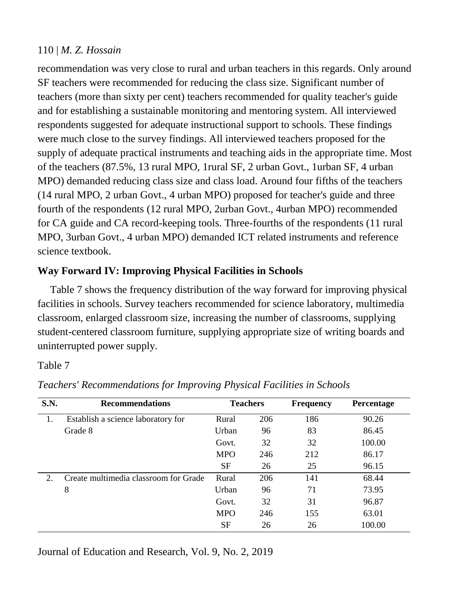recommendation was very close to rural and urban teachers in this regards. Only around SF teachers were recommended for reducing the class size. Significant number of teachers (more than sixty per cent) teachers recommended for quality teacher's guide and for establishing a sustainable monitoring and mentoring system. All interviewed respondents suggested for adequate instructional support to schools. These findings were much close to the survey findings. All interviewed teachers proposed for the supply of adequate practical instruments and teaching aids in the appropriate time. Most of the teachers (87.5%, 13 rural MPO, 1rural SF, 2 urban Govt., 1urban SF, 4 urban MPO) demanded reducing class size and class load. Around four fifths of the teachers (14 rural MPO, 2 urban Govt., 4 urban MPO) proposed for teacher's guide and three fourth of the respondents (12 rural MPO, 2urban Govt., 4urban MPO) recommended for CA guide and CA record-keeping tools. Three-fourths of the respondents (11 rural MPO, 3urban Govt., 4 urban MPO) demanded ICT related instruments and reference science textbook.

# **Way Forward IV: Improving Physical Facilities in Schools**

Table 7 shows the frequency distribution of the way forward for improving physical facilities in schools. Survey teachers recommended for science laboratory, multimedia classroom, enlarged classroom size, increasing the number of classrooms, supplying student-centered classroom furniture, supplying appropriate size of writing boards and uninterrupted power supply.

Table 7

| <b>S.N.</b> | <b>Recommendations</b>                | <b>Teachers</b> |     | <b>Frequency</b> | <b>Percentage</b> |
|-------------|---------------------------------------|-----------------|-----|------------------|-------------------|
| 1.          | Establish a science laboratory for    | Rural           | 206 | 186              | 90.26             |
|             | Grade 8                               | Urban           | 96  | 83               | 86.45             |
|             |                                       | Govt.           | 32  | 32               | 100.00            |
|             |                                       | <b>MPO</b>      | 246 | 212              | 86.17             |
|             |                                       | <b>SF</b>       | 26  | 25               | 96.15             |
| 2.          | Create multimedia classroom for Grade | Rural           | 206 | 141              | 68.44             |
|             | 8                                     | Urban           | 96  | 71               | 73.95             |
|             |                                       | Govt.           | 32  | 31               | 96.87             |
|             |                                       | <b>MPO</b>      | 246 | 155              | 63.01             |
|             |                                       | <b>SF</b>       | 26  | 26               | 100.00            |

*Teachers' Recommendations for Improving Physical Facilities in Schools*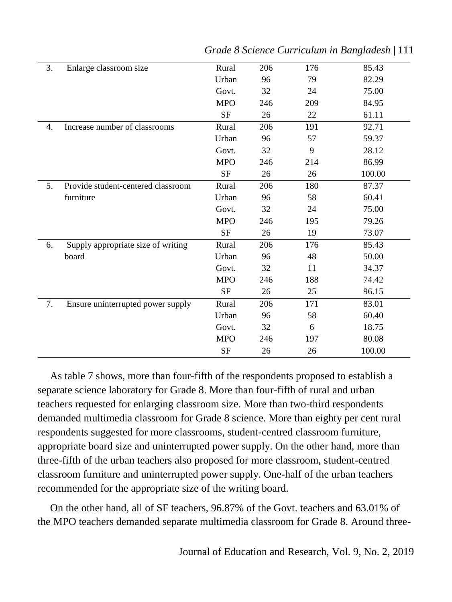| 3. | Enlarge classroom size             | Rural      | 206 | 176 | 85.43  |
|----|------------------------------------|------------|-----|-----|--------|
|    |                                    | Urban      | 96  | 79  | 82.29  |
|    |                                    | Govt.      | 32  | 24  | 75.00  |
|    |                                    | <b>MPO</b> | 246 | 209 | 84.95  |
|    |                                    | <b>SF</b>  | 26  | 22  | 61.11  |
| 4. | Increase number of classrooms      | Rural      | 206 | 191 | 92.71  |
|    |                                    | Urban      | 96  | 57  | 59.37  |
|    |                                    | Govt.      | 32  | 9   | 28.12  |
|    |                                    | <b>MPO</b> | 246 | 214 | 86.99  |
|    |                                    | <b>SF</b>  | 26  | 26  | 100.00 |
| 5. | Provide student-centered classroom | Rural      | 206 | 180 | 87.37  |
|    | furniture                          | Urban      | 96  | 58  | 60.41  |
|    |                                    | Govt.      | 32  | 24  | 75.00  |
|    |                                    | <b>MPO</b> | 246 | 195 | 79.26  |
|    |                                    | <b>SF</b>  | 26  | 19  | 73.07  |
| 6. | Supply appropriate size of writing | Rural      | 206 | 176 | 85.43  |
|    | board                              | Urban      | 96  | 48  | 50.00  |
|    |                                    | Govt.      | 32  | 11  | 34.37  |
|    |                                    | <b>MPO</b> | 246 | 188 | 74.42  |
|    |                                    | <b>SF</b>  | 26  | 25  | 96.15  |
| 7. | Ensure uninterrupted power supply  | Rural      | 206 | 171 | 83.01  |
|    |                                    | Urban      | 96  | 58  | 60.40  |
|    |                                    | Govt.      | 32  | 6   | 18.75  |
|    |                                    | <b>MPO</b> | 246 | 197 | 80.08  |
|    |                                    | <b>SF</b>  | 26  | 26  | 100.00 |

*Grade 8 Science Curriculum in Bangladesh* | 111

As table 7 shows, more than four-fifth of the respondents proposed to establish a separate science laboratory for Grade 8. More than four-fifth of rural and urban teachers requested for enlarging classroom size. More than two-third respondents demanded multimedia classroom for Grade 8 science. More than eighty per cent rural respondents suggested for more classrooms, student-centred classroom furniture, appropriate board size and uninterrupted power supply. On the other hand, more than three-fifth of the urban teachers also proposed for more classroom, student-centred classroom furniture and uninterrupted power supply. One-half of the urban teachers recommended for the appropriate size of the writing board.

On the other hand, all of SF teachers, 96.87% of the Govt. teachers and 63.01% of the MPO teachers demanded separate multimedia classroom for Grade 8. Around three-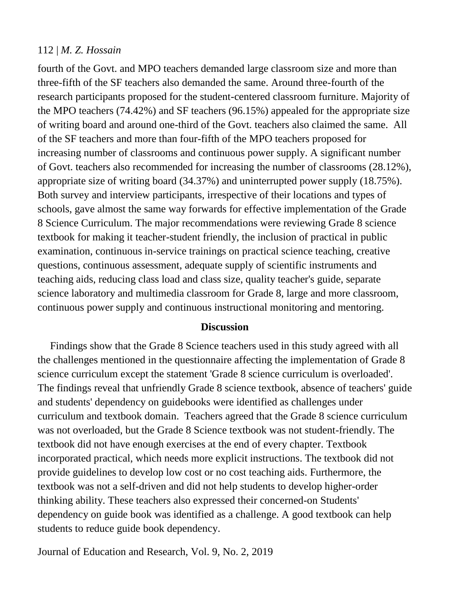fourth of the Govt. and MPO teachers demanded large classroom size and more than three-fifth of the SF teachers also demanded the same. Around three-fourth of the research participants proposed for the student-centered classroom furniture. Majority of the MPO teachers (74.42%) and SF teachers (96.15%) appealed for the appropriate size of writing board and around one-third of the Govt. teachers also claimed the same. All of the SF teachers and more than four-fifth of the MPO teachers proposed for increasing number of classrooms and continuous power supply. A significant number of Govt. teachers also recommended for increasing the number of classrooms (28.12%), appropriate size of writing board (34.37%) and uninterrupted power supply (18.75%). Both survey and interview participants, irrespective of their locations and types of schools, gave almost the same way forwards for effective implementation of the Grade 8 Science Curriculum. The major recommendations were reviewing Grade 8 science textbook for making it teacher-student friendly, the inclusion of practical in public examination, continuous in-service trainings on practical science teaching, creative questions, continuous assessment, adequate supply of scientific instruments and teaching aids, reducing class load and class size, quality teacher's guide, separate science laboratory and multimedia classroom for Grade 8, large and more classroom, continuous power supply and continuous instructional monitoring and mentoring.

#### **Discussion**

Findings show that the Grade 8 Science teachers used in this study agreed with all the challenges mentioned in the questionnaire affecting the implementation of Grade 8 science curriculum except the statement 'Grade 8 science curriculum is overloaded'. The findings reveal that unfriendly Grade 8 science textbook, absence of teachers' guide and students' dependency on guidebooks were identified as challenges under curriculum and textbook domain. Teachers agreed that the Grade 8 science curriculum was not overloaded, but the Grade 8 Science textbook was not student-friendly. The textbook did not have enough exercises at the end of every chapter. Textbook incorporated practical, which needs more explicit instructions. The textbook did not provide guidelines to develop low cost or no cost teaching aids. Furthermore, the textbook was not a self-driven and did not help students to develop higher-order thinking ability. These teachers also expressed their concerned-on Students' dependency on guide book was identified as a challenge. A good textbook can help students to reduce guide book dependency.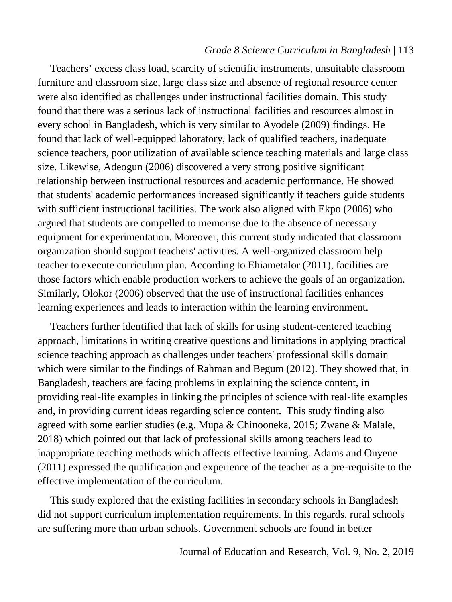#### *Grade 8 Science Curriculum in Bangladesh* | 113

Teachers' excess class load, scarcity of scientific instruments, unsuitable classroom furniture and classroom size, large class size and absence of regional resource center were also identified as challenges under instructional facilities domain. This study found that there was a serious lack of instructional facilities and resources almost in every school in Bangladesh, which is very similar to Ayodele (2009) findings. He found that lack of well-equipped laboratory, lack of qualified teachers, inadequate science teachers, poor utilization of available science teaching materials and large class size. Likewise, Adeogun (2006) discovered a very strong positive significant relationship between instructional resources and academic performance. He showed that students' academic performances increased significantly if teachers guide students with sufficient instructional facilities. The work also aligned with Ekpo (2006) who argued that students are compelled to memorise due to the absence of necessary equipment for experimentation. Moreover, this current study indicated that classroom organization should support teachers' activities. A well-organized classroom help teacher to execute curriculum plan. According to Ehiametalor (2011), facilities are those factors which enable production workers to achieve the goals of an organization. Similarly, Olokor (2006) observed that the use of instructional facilities enhances learning experiences and leads to interaction within the learning environment.

Teachers further identified that lack of skills for using student-centered teaching approach, limitations in writing creative questions and limitations in applying practical science teaching approach as challenges under teachers' professional skills domain which were similar to the findings of Rahman and Begum (2012). They showed that, in Bangladesh, teachers are facing problems in explaining the science content, in providing real-life examples in linking the principles of science with real-life examples and, in providing current ideas regarding science content. This study finding also agreed with some earlier studies (e.g. Mupa & Chinooneka, 2015; Zwane & Malale, 2018) which pointed out that lack of professional skills among teachers lead to inappropriate teaching methods which affects effective learning. Adams and Onyene (2011) expressed the qualification and experience of the teacher as a pre-requisite to the effective implementation of the curriculum.

This study explored that the existing facilities in secondary schools in Bangladesh did not support curriculum implementation requirements. In this regards, rural schools are suffering more than urban schools. Government schools are found in better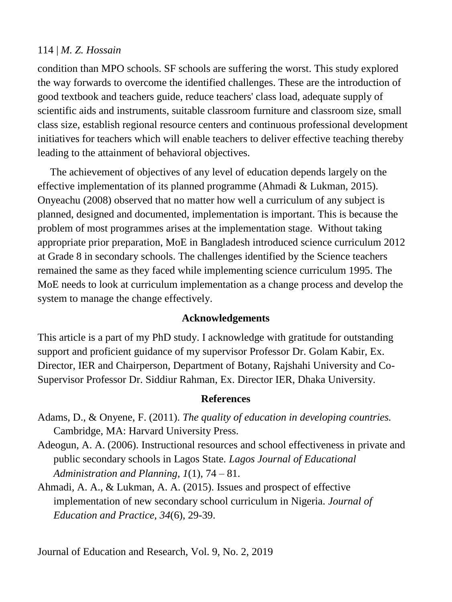condition than MPO schools. SF schools are suffering the worst. This study explored the way forwards to overcome the identified challenges. These are the introduction of good textbook and teachers guide, reduce teachers' class load, adequate supply of scientific aids and instruments, suitable classroom furniture and classroom size, small class size, establish regional resource centers and continuous professional development initiatives for teachers which will enable teachers to deliver effective teaching thereby leading to the attainment of behavioral objectives.

The achievement of objectives of any level of education depends largely on the effective implementation of its planned programme (Ahmadi & Lukman, 2015). Onyeachu (2008) observed that no matter how well a curriculum of any subject is planned, designed and documented, implementation is important. This is because the problem of most programmes arises at the implementation stage. Without taking appropriate prior preparation, MoE in Bangladesh introduced science curriculum 2012 at Grade 8 in secondary schools. The challenges identified by the Science teachers remained the same as they faced while implementing science curriculum 1995. The MoE needs to look at curriculum implementation as a change process and develop the system to manage the change effectively.

## **Acknowledgements**

This article is a part of my PhD study. I acknowledge with gratitude for outstanding support and proficient guidance of my supervisor Professor Dr. Golam Kabir, Ex. Director, IER and Chairperson, Department of Botany, Rajshahi University and Co-Supervisor Professor Dr. Siddiur Rahman, Ex. Director IER, Dhaka University.

## **References**

- Adams, D., & Onyene, F. (2011). *The quality of education in developing countries.*  Cambridge, MA: Harvard University Press.
- Adeogun, A. A. (2006). Instructional resources and school effectiveness in private and public secondary schools in Lagos State. *Lagos Journal of Educational Administration and Planning, 1*(1), 74 – 81.
- Ahmadi, A. A., & Lukman, A. A. (2015). Issues and prospect of effective implementation of new secondary school curriculum in Nigeria. *Journal of Education and Practice, 34*(6), 29-39.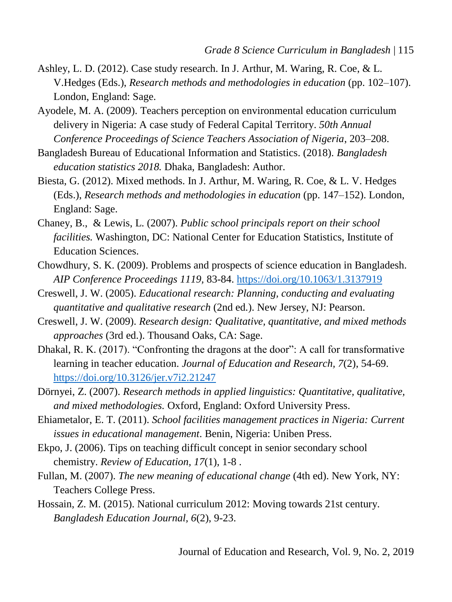- Ashley, L. D. (2012). Case study research. In J. Arthur, M. Waring, R. Coe, & L. V.Hedges (Eds.), *Research methods and methodologies in education* (pp. 102–107). London, England: Sage.
- Ayodele, M. A. (2009). Teachers perception on environmental education curriculum delivery in Nigeria: A case study of Federal Capital Territory. *50th Annual Conference Proceedings of Science Teachers Association of Nigeria*, 203–208.
- Bangladesh Bureau of Educational Information and Statistics. (2018). *Bangladesh education statistics 2018.* Dhaka, Bangladesh: Author.
- Biesta, G. (2012). Mixed methods. In J. Arthur, M. Waring, R. Coe, & L. V. Hedges (Eds.), *Research methods and methodologies in education* (pp. 147–152). London, England: Sage.
- Chaney, B., & Lewis, L. (2007). *Public school principals report on their school facilities.* Washington, DC: National Center for Education Statistics, Institute of Education Sciences.
- Chowdhury, S. K. (2009). Problems and prospects of science education in Bangladesh. *AIP Conference Proceedings 1119,* 83-84. <https://doi.org/10.1063/1.3137919>
- Creswell, J. W. (2005). *Educational research: Planning, conducting and evaluating quantitative and qualitative research* (2nd ed.). New Jersey, NJ: Pearson.
- Creswell, J. W. (2009). *Research design: Qualitative, quantitative, and mixed methods approaches* (3rd ed.). Thousand Oaks, CA: Sage.
- Dhakal, R. K. (2017). "Confronting the dragons at the door": A call for transformative learning in teacher education. *Journal of Education and Research, 7*(2), 54-69. <https://doi.org/10.3126/jer.v7i2.21247>
- Dörnyei, Z. (2007). *Research methods in applied linguistics: Quantitative, qualitative, and mixed methodologies.* Oxford, England: Oxford University Press.
- Ehiametalor, E. T. (2011). *School facilities management practices in Nigeria: Current issues in educational management*. Benin, Nigeria: Uniben Press.
- Ekpo, J. (2006). Tips on teaching difficult concept in senior secondary school chemistry. *Review of Education, 17*(1), 1-8 .
- Fullan, M. (2007). *The new meaning of educational change* (4th ed). New York, NY: Teachers College Press.
- Hossain, Z. M. (2015). National curriculum 2012: Moving towards 21st century. *Bangladesh Education Journal, 6*(2), 9-23.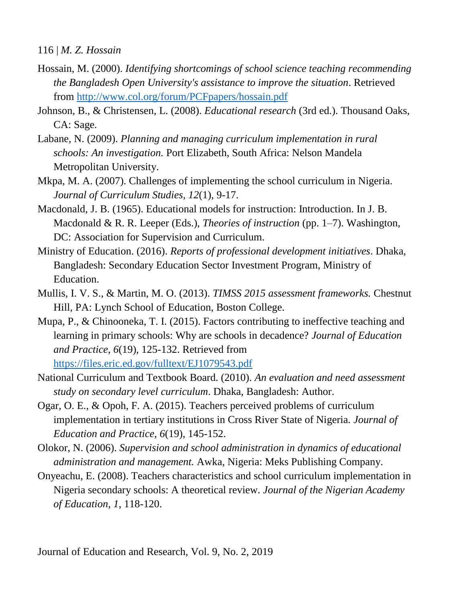116 | *M. Z. Hossain*

- Hossain, M. (2000). *Identifying shortcomings of school science teaching recommending the Bangladesh Open University's assistance to improve the situation*. Retrieved from<http://www.col.org/forum/PCFpapers/hossain.pdf>
- Johnson, B., & Christensen, L. (2008). *Educational research* (3rd ed.). Thousand Oaks, CA: Sage.
- Labane, N. (2009). *Planning and managing curriculum implementation in rural schools: An investigation.* Port Elizabeth, South Africa: Nelson Mandela Metropolitan University.
- Mkpa, M. A. (2007). Challenges of implementing the school curriculum in Nigeria. *Journal of Curriculum Studies, 12*(1), 9-17.
- Macdonald, J. B. (1965). Educational models for instruction: Introduction. In J. B. Macdonald & R. R. Leeper (Eds.), *Theories of instruction* (pp. 1–7). Washington, DC: Association for Supervision and Curriculum.
- Ministry of Education. (2016). *Reports of professional development initiatives*. Dhaka, Bangladesh: Secondary Education Sector Investment Program, Ministry of Education.
- Mullis, I. V. S., & Martin, M. O. (2013). *TIMSS 2015 assessment frameworks.* Chestnut Hill, PA: Lynch School of Education, Boston College.
- Mupa, P., & Chinooneka, T. I. (2015). Factors contributing to ineffective teaching and learning in primary schools: Why are schools in decadence? *Journal of Education and Practice, 6*(19), 125-132. Retrieved from <https://files.eric.ed.gov/fulltext/EJ1079543.pdf>
- National Curriculum and Textbook Board. (2010). *An evaluation and need assessment study on secondary level curriculum*. Dhaka, Bangladesh: Author.
- Ogar, O. E., & Opoh, F. A. (2015). Teachers perceived problems of curriculum implementation in tertiary institutions in Cross River State of Nigeria. *Journal of Education and Practice, 6*(19), 145-152.
- Olokor, N. (2006). *Supervision and school administration in dynamics of educational administration and management.* Awka, Nigeria: Meks Publishing Company.
- Onyeachu, E. (2008). Teachers characteristics and school curriculum implementation in Nigeria secondary schools: A theoretical review. *Journal of the Nigerian Academy of Education, 1*, 118-120.